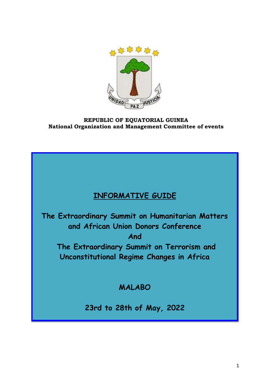

# **REPUBLIC OF EQUATORIAL GUINEA National Organization and Management Committee of events**

# **INFORMATIVE GUIDE**

**The Extraordinary Summit on Humanitarian Matters and African Union Donors Conference And**

**The Extraordinary Summit on Terrorism and Unconstitutional Regime Changes in Africa**

# **MALABO**

**23rd to 28th of May, 2022**

**Del 20 al 22 de agosto de 2012**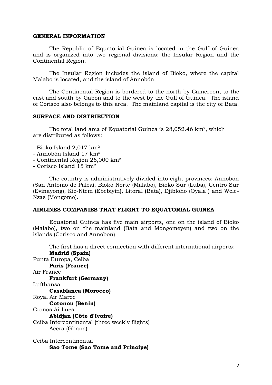#### **GENERAL INFORMATION**

The Republic of Equatorial Guinea is located in the Gulf of Guinea and is organized into two regional divisions: the Insular Region and the Continental Region.

The Insular Region includes the island of Bioko, where the capital Malabo is located, and the island of Annobón.

The Continental Region is bordered to the north by Cameroon, to the east and south by Gabon and to the west by the Gulf of Guinea. The island of Corisco also belongs to this area. The mainland capital is the city of Bata.

#### **SURFACE AND DISTRIBUTION**

The total land area of Equatorial Guinea is 28,052.46 km², which are distributed as follows:

- Bioko Island 2,017 km²
- Annobón Island 17 km²
- Continental Region 26,000 km²
- Corisco Island 15 km²

The country is administratively divided into eight provinces: Annobón (San Antonio de Palea), Bioko Norte (Malabo), Bioko Sur (Luba), Centro Sur (Evinayong), Kie-Ntem (Ebebiyin), Litoral (Bata), Djibloho (Oyala ) and Wele-Nzas (Mongomo).

#### **AIRLINES COMPANIES THAT FLIGHT TO EQUATORIAL GUINEA**

Equatorial Guinea has five main airports, one on the island of Bioko (Malabo), two on the mainland (Bata and Mongomeyen) and two on the islands (Corisco and Annobon).

The first has a direct connection with different international airports: **Madrid (Spain)**  Punta Europa, Ceiba **Paris (France)** Air France **Frankfurt (Germany)** Lufthansa **Casablanca (Morocco)** Royal Air Maroc **Cotonou (Benin)** Cronos Airlines **Abidjan (Côte d'Ivoire)** Ceiba Intercontinental (three weekly flights) Accra (Ghana) Ceiba Intercontinental

**Sao Tome (Sao Tome and Principe)**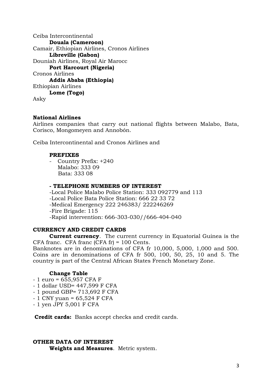Ceiba Intercontinental **Douala (Cameroon)** Camair, Ethiopian Airlines, Cronos Airlines **Libreville (Gabon)** Douniah Airlines, Royal Air Marocc **Port Harcourt (Nigeria)** Cronos Airlines **Addis Ababa (Ethiopia)** Ethiopian Airlines **Lome (Togo)** Asky

# **National Airlines**

Airlines companies that carry out national flights between Malabo, Bata, Corisco, Mongomeyen and Annobón.

Ceiba Intercontinental and Cronos Airlines and

## **PREFIXES**

- Country Prefix: +240 Malabo: 333 09 Bata: 333 08

#### **- TELEPHONE NUMBERS OF INTEREST**

-Local Police Malabo Police Station: 333 092779 and 113 -Local Police Bata Police Station: 666 22 33 72 -Medical Emergency 222 246383/ 222246269 -Fire Brigade: 115 -Rapid intervention: 666-303-030//666-404-040

# **CURRENCY AND CREDIT CARDS**

**Current currency**. The current currency in Equatorial Guinea is the CFA franc. CFA franc (CFA fr) = 100 Cents.

Banknotes are in denominations of CFA fr 10,000, 5,000, 1,000 and 500. Coins are in denominations of CFA fr 500, 100, 50, 25, 10 and 5. The country is part of the Central African States French Monetary Zone.

# **Change Table**

- 1 euro = 655,957 CFA F
- 1 dollar USD= 447,599 F CFA
- 1 pound GBP= 713,692 F CFA
- $-1$  CNY yuan = 65,524 F CFA
- 1 yen JPY 5,001 F CFA

**Credit cards:** Banks accept checks and credit cards.

# **OTHER DATA OF INTEREST Weights and Measures**. Metric system.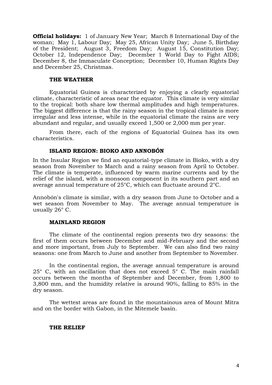**Official holidays:** 1 of January New Year; March 8 International Day of the woman; May 1, Labour Day; May 25, African Unity Day; June 5, Birthday of the President; August 3, Freedom Day; August 15, Constitution Day; October 12, Independence Day; December 1 World Day to Fight AIDS; December 8, the Immaculate Conception; December 10, Human Rights Day and December 25, Christmas.

#### **THE WEATHER**

Equatorial Guinea is characterized by enjoying a clearly equatorial climate, characteristic of areas near the equator. This climate is very similar to the tropical: both share low thermal amplitudes and high temperatures. The biggest difference is that the rainy season in the tropical climate is more irregular and less intense, while in the equatorial climate the rains are very abundant and regular, and usually exceed 1,500 or 2,000 mm per year.

From there, each of the regions of Equatorial Guinea has its own characteristics.

#### **ISLAND REGION: BIOKO AND ANNOBÓN**

In the Insular Region we find an equatorial-type climate in Bioko, with a dry season from November to March and a rainy season from April to October. The climate is temperate, influenced by warm marine currents and by the relief of the island, with a monsoon component in its southern part and an average annual temperature of 25°C, which can fluctuate around 2°C.

Annobón's climate is similar, with a dry season from June to October and a wet season from November to May. The average annual temperature is usually 26° C.

#### **MAINLAND REGION**

The climate of the continental region presents two dry seasons: the first of them occurs between December and mid-February and the second and more important, from July to September. We can also find two rainy seasons: one from March to June and another from September to November.

In the continental region, the average annual temperature is around 25° C, with an oscillation that does not exceed 5° C. The main rainfall occurs between the months of September and December, from 1,800 to 3,800 mm, and the humidity relative is around 90%, falling to 85% in the dry season.

The wettest areas are found in the mountainous area of Mount Mitra and on the border with Gabon, in the Mitemele basin.

#### **THE RELIEF**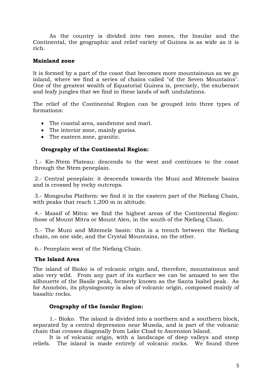As the country is divided into two zones, the Insular and the Continental, the geographic and relief variety of Guinea is as wide as it is rich.

# **Mainland zone**

It is formed by a part of the coast that becomes more mountainous as we go inland, where we find a series of chains called "of the Seven Mountains". One of the greatest wealth of Equatorial Guinea is, precisely, the exuberant and leafy jungles that we find in these lands of soft undulations.

The relief of the Continental Region can be grouped into three types of formations:

- The coastal area, sandstone and marl.
- The interior zone, mainly gneiss.
- The eastern zone, granitic.

# **Orography of the Continental Region:**

1.- Kie-Ntem Plateau: descends to the west and continues to the coast through the Ntem peneplain.

2.- Central peneplain: it descends towards the Muni and Mitemele basins and is crossed by rocky outcrops.

3.- Mongouba Platform: we find it in the eastern part of the Niefang Chain, with peaks that reach 1,200 m in altitude.

4.- Massif of Mitra: we find the highest areas of the Continental Region: those of Mount Mitra or Mount Alen, in the south of the Niefang Chain.

5.- The Muni and Mitemele basin: this is a trench between the Niefang chain, on one side, and the Crystal Mountains, on the other.

6.- Peneplain west of the Niefang Chain.

# **The Island Area**

The island of Bioko is of volcanic origin and, therefore, mountainous and also very wild. From any part of its surface we can be amazed to see the silhouette of the Basile peak, formerly known as the Santa Isabel peak. As for Annobón, its physiognomy is also of volcanic origin, composed mainly of basaltic rocks.

# **Orography of the Insular Region:**

1.- Bioko. The island is divided into a northern and a southern block, separated by a central depression near Musola, and is part of the volcanic chain that crosses diagonally from Lake Chad to Ascension Island.

It is of volcanic origin, with a landscape of deep valleys and steep reliefs. The island is made entirely of volcanic rocks. We found three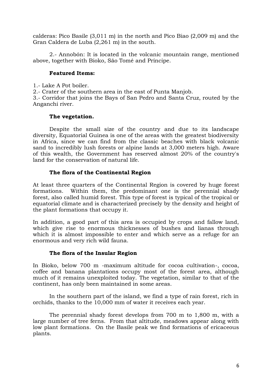calderas: Pico Basile (3,011 m) in the north and Pico Biao (2,009 m) and the Gran Caldera de Luba (2,261 m) in the south.

2.- Annobón: It is located in the volcanic mountain range, mentioned above, together with Bioko, São Tomé and Príncipe.

# **Featured Items:**

1.- Lake A Pot boiler.

2.- Crater of the southern area in the east of Punta Manjob.

3.- Corridor that joins the Bays of San Pedro and Santa Cruz, routed by the Anganchi river.

# **The vegetation.**

Despite the small size of the country and due to its landscape diversity, Equatorial Guinea is one of the areas with the greatest biodiversity in Africa, since we can find from the classic beaches with black volcanic sand to incredibly lush forests or alpine lands at 3,000 meters high. Aware of this wealth, the Government has reserved almost 20% of the country's land for the conservation of natural life.

# **The flora of the Continental Region**

At least three quarters of the Continental Region is covered by huge forest formations. Within them, the predominant one is the perennial shady forest, also called humid forest. This type of forest is typical of the tropical or equatorial climate and is characterized precisely by the density and height of the plant formations that occupy it.

In addition, a good part of this area is occupied by crops and fallow land, which give rise to enormous thicknesses of bushes and lianas through which it is almost impossible to enter and which serve as a refuge for an enormous and very rich wild fauna.

# **The flora of the Insular Region**

In Bioko, below 700 m -maximum altitude for cocoa cultivation-, cocoa, coffee and banana plantations occupy most of the forest area, although much of it remains unexploited today. The vegetation, similar to that of the continent, has only been maintained in some areas.

In the southern part of the island, we find a type of rain forest, rich in orchids, thanks to the 10,000 mm of water it receives each year.

The perennial shady forest develops from 700 m to 1,800 m, with a large number of tree ferns. From that altitude, meadows appear along with low plant formations. On the Basile peak we find formations of ericaceous plants.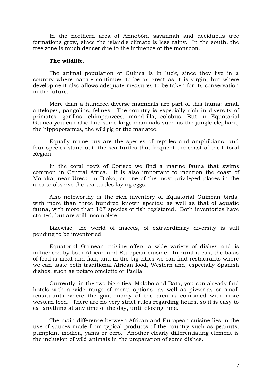In the northern area of Annobón, savannah and deciduous tree formations grow, since the island's climate is less rainy. In the south, the tree zone is much denser due to the influence of the monsoon.

#### **The wildlife.**

The animal population of Guinea is in luck, since they live in a country where nature continues to be as great as it is virgin, but where development also allows adequate measures to be taken for its conservation in the future.

More than a hundred diverse mammals are part of this fauna: small antelopes, pangolins, felines. The country is especially rich in diversity of primates: gorillas, chimpanzees, mandrills, colobus. But in Equatorial Guinea you can also find some large mammals such as the jungle elephant, the hippopotamus, the wild pig or the manatee.

Equally numerous are the species of reptiles and amphibians, and four species stand out, the sea turtles that frequent the coast of the Litoral Region.

In the coral reefs of Corisco we find a marine fauna that swims common in Central Africa. It is also important to mention the coast of Moraka, near Ureca, in Bioko, as one of the most privileged places in the area to observe the sea turtles laying eggs.

Also noteworthy is the rich inventory of Equatorial Guinean birds, with more than three hundred known species: as well as that of aquatic fauna, with more than 167 species of fish registered. Both inventories have started, but are still incomplete.

Likewise, the world of insects, of extraordinary diversity is still pending to be inventoried.

Equatorial Guinean cuisine offers a wide variety of dishes and is influenced by both African and European cuisine. In rural areas, the basis of food is meat and fish, and in the big cities we can find restaurants where we can taste both traditional African food, Western and, especially Spanish dishes, such as potato omelette or Paella.

Currently, in the two big cities, Malabo and Bata, you can already find hotels with a wide range of menu options, as well as pizzerias or small restaurants where the gastronomy of the area is combined with more western food. There are no very strict rules regarding hours, so it is easy to eat anything at any time of the day, until closing time.

The main difference between African and European cuisine lies in the use of sauces made from typical products of the country such as peanuts, pumpkin, modica, yams or ocro. Another clearly differentiating element is the inclusion of wild animals in the preparation of some dishes.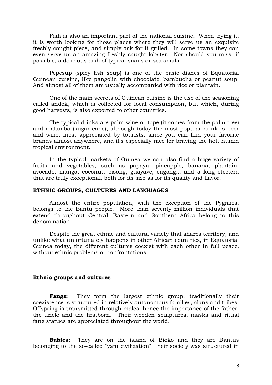Fish is also an important part of the national cuisine. When trying it, it is worth looking for those places where they will serve us an exquisite freshly caught piece, and simply ask for it grilled. In some towns they can even serve us an amazing freshly caught lobster. Nor should you miss, if possible, a delicious dish of typical snails or sea snails.

Pepesup (spicy fish soup) is one of the basic dishes of Equatorial Guinean cuisine, like pangolin with chocolate, bambucha or peanut soup. And almost all of them are usually accompanied with rice or plantain.

One of the main secrets of Guinean cuisine is the use of the seasoning called andok, which is collected for local consumption, but which, during good harvests, is also exported to other countries.

The typical drinks are palm wine or topé (it comes from the palm tree) and malamba (sugar cane), although today the most popular drink is beer and wine, most appreciated by tourists, since you can find your favorite brands almost anywhere, and it's especially nice for braving the hot, humid tropical environment.

In the typical markets of Guinea we can also find a huge variety of fruits and vegetables, such as papaya, pineapple, banana, plantain, avocado, mango, coconut, bisong, guayave, engong... and a long etcetera that are truly exceptional, both for its size as for its quality and flavor.

#### **ETHNIC GROUPS, CULTURES AND LANGUAGES**

Almost the entire population, with the exception of the Pygmies, belongs to the Bantu people. More than seventy million individuals that extend throughout Central, Eastern and Southern Africa belong to this denomination.

Despite the great ethnic and cultural variety that shares territory, and unlike what unfortunately happens in other African countries, in Equatorial Guinea today, the different cultures coexist with each other in full peace, without ethnic problems or confrontations.

## **Ethnic groups and cultures**

**Fangs:** They form the largest ethnic group, traditionally their coexistence is structured in relatively autonomous families, clans and tribes. Offspring is transmitted through males, hence the importance of the father, the uncle and the firstborn. Their wooden sculptures, masks and ritual fang statues are appreciated throughout the world.

**Bubies:** They are on the island of Bioko and they are Bantus belonging to the so-called "yam civilization", their society was structured in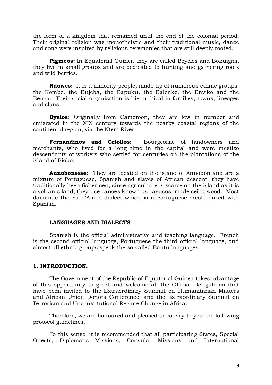the form of a kingdom that remained until the end of the colonial period. Their original religion was monotheistic and their traditional music, dance and song were inspired by religious ceremonies that are still deeply rooted.

**Pigmeos:** In Equatorial Guinea they are called Beyeles and Bokuigns, they live in small groups and are dedicated to hunting and gathering roots and wild berries.

**Ndowes:** It is a minority people, made up of numerous ethnic groups: the Kombe, the Bujeba, the Bapuku, the Balenke, the Enviko and the Benga. Their social organization is hierarchical in families, towns, lineages and clans.

**Bysios:** Originally from Cameroon, they are few in number and emigrated in the XIX century towards the nearby coastal regions of the continental region, via the Ntem River.

**Fernandinos and Criollos:** Bourgeoisie of landowners and merchants, who lived for a long time in the capital and were mestizo descendants of workers who settled for centuries on the plantations of the island of Bioko.

**Annoboneses:** They are located on the island of Annobón and are a mixture of Portuguese, Spanish and slaves of African descent, they have traditionally been fishermen, since agriculture is scarce on the island as it is a volcanic land, they use canoes known as cayucos, made ceiba wood. Most dominate the Fá d'Ambô dialect which is a Portuguese creole mixed with Spanish.

#### **LANGUAGES AND DIALECTS**

Spanish is the official administrative and teaching language. French is the second official language, Portuguese the third official language, and almost all ethnic groups speak the so-called Bantu languages.

#### **1. INTRODUCTION.**

The Government of the Republic of Equatorial Guinea takes advantage of this opportunity to greet and welcome all the Official Delegations that have been invited to the Extraordinary Summit on Humanitarian Matters and African Union Donors Conference, and the Extraordinary Summit on Terrorism and Unconstitutional Regime Change in Africa.

Therefore, we are honoured and pleased to convey to you the following protocol guidelines.

To this sense, it is recommended that all participating States, Special Guests, Diplomatic Missions, Consular Missions and International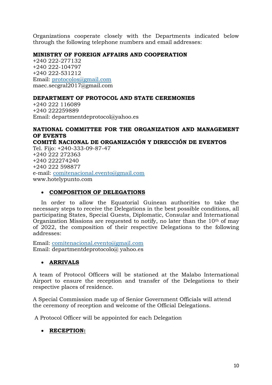Organizations cooperate closely with the Departments indicated below through the following telephone numbers and email addresses:

# **MINISTRY OF FOREIGN AFFAIRS AND COOPERATION**

+240 222-277132 +240 222-104797 +240 222-531212 Email: [protocolos@gmail.com](mailto:protocolos@gmail.com) maec.secgral2017@gmail.com

# **DEPARTMENT OF PROTOCOL AND STATE CEREMONIES**

+240 222 116089 +240 222259889 Email: departmentdeprotocol@yahoo.es

# **NATIONAL COMMITTEE FOR THE ORGANIZATION AND MANAGEMENT OF EVENTS COMITÉ NACIONAL DE ORGANIZACIÓN Y DIRECCIÓN DE EVENTOS** Tel. Fijo: +240-333-09-87-47 +240 222 272363 +240 222274240 +240 222 598877 e-mail: [comitenacional.evento@gmail.com](mailto:comitenacional.evento@gmail.com) www.hotelypunto.com

## • **COMPOSITION OF DELEGATIONS**

In order to allow the Equatorial Guinean authorities to take the necessary steps to receive the Delegations in the best possible conditions, all participating States, Special Guests, Diplomatic, Consular and International Organization Missions are requested to notify, no later than the  $10<sup>th</sup>$  of may of 2022, the composition of their respective Delegations to the following addresses:

Email: [comitenacional.evento@gmail.com](mailto:comitenacional.evento@gmail.com) Email: departmentdeprotocolo@ yahoo.es

# • **ARRIVALS**

A team of Protocol Officers will be stationed at the Malabo International Airport to ensure the reception and transfer of the Delegations to their respective places of residence.

A Special Commission made up of Senior Government Officials will attend the ceremony of reception and welcome of the Official Delegations.

A Protocol Officer will be appointed for each Delegation

# • **RECEPTION:**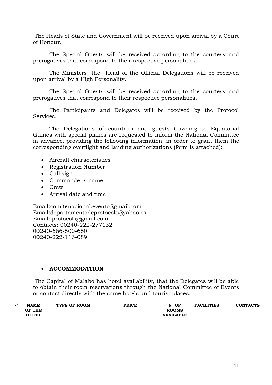The Heads of State and Government will be received upon arrival by a Court of Honour.

The Special Guests will be received according to the courtesy and prerogatives that correspond to their respective personalities.

The Ministers, the Head of the Official Delegations will be received upon arrival by a High Personality.

The Special Guests will be received according to the courtesy and prerogatives that correspond to their respective personalities.

The Participants and Delegates will be received by the Protocol Services.

The Delegations of countries and guests traveling to Equatorial Guinea with special planes are requested to inform the National Committee in advance, providing the following information, in order to grant them the corresponding overflight and landing authorizations (form is attached):

- Aircraft characteristics
- Registration Number
- Call sign
- Commander's name
- Crew
- Arrival date and time

Email:comitenacional.evento@gmail.com Email:departamentodeprotocolo@yahoo.es Email: protocols@gmail.com Contacts: 00240-222-277132 00240-666-500-650 00240-222-116-089

# • **ACCOMMODATION**

The Capital of Malabo has hotel availability, that the Delegates will be able to obtain their room reservations through the National Committee of Events or contact directly with the same hotels and tourist places.

| $N^{\circ}$ | <b>NAME</b><br>OF THE<br><b>HOTEL</b> | TYPE OF ROOM | <b>PRICE</b> | $N^{\circ}$ OF<br><b>ROOMS</b><br><b>AVAILABLE</b> | <b>FACILITIES</b> | <b>CONTACTS</b> |
|-------------|---------------------------------------|--------------|--------------|----------------------------------------------------|-------------------|-----------------|
|             |                                       |              |              |                                                    |                   |                 |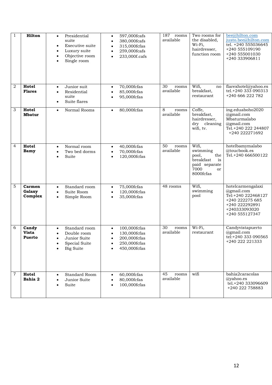| $\mathbf{1}$   | Hilton                      | Presidential<br>$\bullet$<br>suite<br>Executive suite<br>$\bullet$<br>Luxury suite<br>$\bullet$<br>Objective room<br>$\bullet$<br>Single room | 597,000fcafs<br>$\bullet$<br>380,000fcafs<br>$\bullet$<br>315,000fcfas<br>$\bullet$<br>259,000fcafs<br>$\bullet$<br>233,000f.cafs<br>$\bullet$ | 187<br>rooms<br>available | Two rooms for<br>the disabled,<br>Wi-Fi,<br>hairdresser,<br>function room                        | bee@hilton.com<br>justo.bee@hilton.com<br>tel. +240 555036645<br>+240 555109190<br>+240 555001030<br>+240 333906811           |
|----------------|-----------------------------|-----------------------------------------------------------------------------------------------------------------------------------------------|------------------------------------------------------------------------------------------------------------------------------------------------|---------------------------|--------------------------------------------------------------------------------------------------|-------------------------------------------------------------------------------------------------------------------------------|
| 2              | Hotel<br><b>Flares</b>      | Junior suit<br>$\bullet$<br>Residential<br>$\bullet$<br>suite<br>Suite flares<br>$\bullet$                                                    | 70,000fcfas<br>$\bullet$<br>85,000fcfas<br>$\bullet$<br>95,000fcfas                                                                            | 30<br>rooms<br>available  | Wifi,<br>no<br>breakfast,<br>restaurant                                                          | flarexhotel@yahoo.es<br>tel.+240 333 090313<br>+240 666 222 782                                                               |
| 3              | Hotel<br><b>Mbatur</b>      | Normal Rooms<br>$\bullet$                                                                                                                     | 80,000fcfas<br>$\bullet$                                                                                                                       | 8<br>rooms<br>available   | Coffe,<br>breakfast,<br>hairdresser,<br>$\rm{d}r v$<br>cleaning<br>wifi, tv.                     | ing.eduaboho2020<br>@gmail.com<br>Mbaturmalabo<br>@gmail.com<br>Tel.+240 222 244807<br>+240 222271692                         |
| $\overline{4}$ | Hotel<br>Bamy               | Normal room<br>$\bullet$<br>Two bed dorms<br>$\bullet$<br>Suite<br>$\bullet$                                                                  | 40,000fcfas<br>$\bullet$<br>70,000fcfas<br>$\bullet$<br>120,000fcfas<br>$\bullet$                                                              | 50<br>rooms<br>available  | Wifi,<br>swimming<br>pool,<br>the<br>breakfast<br>is<br>paid separate<br>7000<br>or<br>8000fcfas | hotelbamymalabo<br>@toucbook.es<br>Tel.+240 666500122                                                                         |
| 5              | Carmen<br>Galaxy<br>Complex | Standard room<br>$\bullet$<br>Suite Room<br>$\bullet$<br>Simple Room<br>$\bullet$                                                             | 75,000fcfas<br>$\bullet$<br>120,000fcfas<br>$\bullet$<br>35,000fcfas<br>$\bullet$                                                              | 48 rooms                  | Wifi,<br>swimming<br>pool                                                                        | hotelcarmengalaxi<br>@gmail.com<br>Tel:+240 222468127<br>+240 222275 685<br>+240 222292891<br>+240333093020<br>+240 555127347 |
| 6              | Candy<br>Vista<br>Puerto    | Standard room<br>$\bullet$<br>Double room<br>$\bullet$<br>Junior Suite<br>Special Suite<br><b>Big Suite</b>                                   | 100,000fcfas<br>$\bullet$<br>130,000fcfas<br>$\bullet$<br>200,000fcfas<br>250,000fcfas<br>450,000fcfas                                         | 30<br>rooms<br>available  | Wi-Fi,<br>restaurant                                                                             | Candyvistapuerto<br>@gmail.com<br>tel:+240 333 090565<br>+240 222 221333                                                      |
| 7              | Hotel<br>Bahia 2            | Standard Room<br>$\bullet$<br>Junior Suite<br>$\bullet$<br>Suite<br>٠                                                                         | 60,000fcfas<br>$\bullet$<br>80,000fcfas<br>$\bullet$<br>100,000fcfas                                                                           | 45<br>rooms<br>available  | wifi                                                                                             | bahia2caracolas<br>@yahoo.es<br>tel.+240 333096609<br>+240 222 758883                                                         |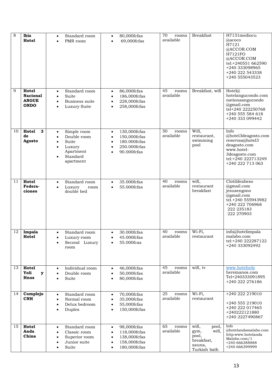| 8  | Ibis<br>Hotel                                           | Standard room<br>$\bullet$<br>PMR room<br>$\bullet$                                                                                                  | 80,000fcfas<br>$\bullet$<br>69,000fcfas<br>$\bullet$                                                                                         | 70<br>rooms<br>available | <b>Breakfast</b>                                                                 | H7131mediocu<br>@acoco<br>H7121<br>@ACCOR.COM<br>H7121FO<br>@ACCOR.COM<br>tel:+240551 662590<br>+240 333098965<br>+240 222 543338<br>+240 555043523 |
|----|---------------------------------------------------------|------------------------------------------------------------------------------------------------------------------------------------------------------|----------------------------------------------------------------------------------------------------------------------------------------------|--------------------------|----------------------------------------------------------------------------------|-----------------------------------------------------------------------------------------------------------------------------------------------------|
| 9  | Hotel<br><b>Nacional</b><br><b>ANGUE</b><br><b>ONDO</b> | Standard room<br>$\bullet$<br>Suite<br>$\bullet$<br>Business suite<br>$\bullet$<br>Luxury Suite<br>$\bullet$                                         | 86,000fcfas<br>$\bullet$<br>186,000fcfas<br>$\bullet$<br>228,000fcfas<br>$\bullet$<br>258,000fcfas<br>$\bullet$                              | 45<br>rooms<br>available | Breakfast, wifi                                                                  | Hotel(a)<br>hotelangucondo.com<br>nationaangucondo<br>@gmail.com<br>tel+240 222250768<br>+240 555 584 618<br>+240 333 099442                        |
| 10 | 3<br>Hotel<br>de<br>Agosto                              | Simple room<br>$\bullet$<br>Double room<br>$\bullet$<br>Suite<br>$\bullet$<br>Luxury<br>$\bullet$<br>Apartment<br>Standard<br>$\bullet$<br>apartment | 130,000fcfas<br>$\bullet$<br>150,000fcfas<br>$\bullet$<br>180.000fcfas<br>$\bullet$<br>250.000fcfas<br>$\bullet$<br>90.000fcfas<br>$\bullet$ | 50<br>rooms<br>available | Wifi,<br>restaurant,<br>swimming<br>pool                                         | Info<br>@hotel3deagosto.com<br>reservas@hotel3<br>deagosto.com<br>www.hotel-<br>3deagosto.com<br>tel:+240 222713249<br>+240 222 713 063             |
| 11 | Hotel<br>Federa-<br>ciones                              | Standard room<br>$\bullet$<br>Luxury<br>room<br>$\bullet$<br>double bed                                                                              | 35.000fcfas<br>$\bullet$<br>55.000fcfas<br>$\bullet$                                                                                         | 40<br>rooms<br>available | wifi,<br>restaurant<br>breakfast                                                 | Clotildeabeso<br>@gmail.com<br>jesusengono<br>$@g$ mail.com<br>tel.+240 555943982<br>+240 222 706968<br>222 235183<br>222 270903                    |
| 12 | Impala<br>Hotel                                         | Standard room<br>$\bullet$<br>Luxury room<br>Second Luxury<br>$\bullet$<br>room                                                                      | 30.000fcfas<br>$\bullet$<br>45.000fcfas<br>55.000fcas                                                                                        | 40<br>rooms<br>available | Wi-Fi,<br>restaurant                                                             | info@hotelimpala<br>malabo.com<br>tel:+240 222287122<br>+240 333092492                                                                              |
| 13 | Hotel<br>Yoli<br>$\mathbf{y}$<br>Hnos                   | Individual room<br>$\bullet$<br>Double room<br>Suite<br>$\bullet$                                                                                    | 46,000fcfas<br>$\bullet$<br>50,000fcfas<br>80,000fcfas<br>$\bullet$                                                                          | 45<br>rooms<br>available | wifi, tv                                                                         | www.hotelyoly<br>heremanos.com<br>Tel+240333091895<br>+240 222 276186                                                                               |
| 14 | Complejo<br><b>CNH</b>                                  | Standard room<br>$\bullet$<br>Normal room<br>$\bullet$<br>Delux bedroom<br>$\bullet$<br>Duplex<br>$\bullet$                                          | 70,000fcfas<br>$\bullet$<br>35,000fcfas<br>$\bullet$<br>55,000fcfas<br>$\bullet$<br>150,000fcfas<br>$\bullet$                                | 25<br>rooms<br>available | Wi-Fi,<br>restaurant                                                             | +240 222 219010<br>+240 555 219010<br>+240 222 017465<br>+240222121880<br>+240 2227490867                                                           |
| 15 | Hotel<br>Anda<br>China                                  | Standard room<br>$\bullet$<br>Classic room<br>$\bullet$<br>Superior room<br>$\bullet$<br>Junior suite<br>$\bullet$<br>Suite<br>$\bullet$             | 98,000fcfas<br>$\bullet$<br>118,000fcfas<br>$\bullet$<br>138,000fcfas<br>$\bullet$<br>158,000fcfas<br>$\bullet$<br>180,000fcfas<br>$\bullet$ | 65<br>rooms<br>available | wifi,<br>pool,<br>wifi,<br>gym,<br>pool,<br>breakfast,<br>sauna,<br>Turkish bath | Info<br>@hotelandamalabo.com<br>http:www.hotelanda<br>Malabo.com/1<br>+240 666388888<br>+240 666399999                                              |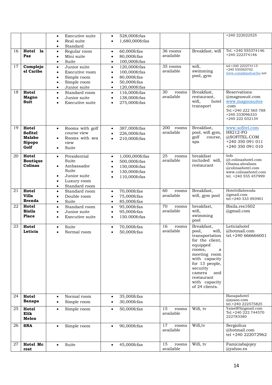|    |                    | Executive suite<br>$\bullet$                          | 528,000fcfas<br>$\bullet$                              |              |                             | +240 222022525                       |
|----|--------------------|-------------------------------------------------------|--------------------------------------------------------|--------------|-----------------------------|--------------------------------------|
|    |                    | Real suite<br>$\bullet$                               | 1,680,000fcfas<br>$\bullet$                            |              |                             |                                      |
|    |                    | Standard<br>$\bullet$                                 |                                                        |              |                             |                                      |
| 16 | Hotel<br><b>la</b> | Regular room<br>$\bullet$                             | 60,000fcfas<br>$\bullet$                               | 36 rooms     | Breakfast, wifi             | Tel. +240 555374146                  |
|    | Paz                | Mini suite<br>$\bullet$                               | 80,000fcfas<br>$\bullet$                               | available    |                             | +240 222374146                       |
|    |                    | Suite<br>$\bullet$                                    | 100,000fcfas<br>$\bullet$                              |              |                             |                                      |
| 17 | Complejo           | Junior suite<br>$\bullet$                             | 120,000fcfas<br>$\bullet$                              | 35 rooms     | wifi,                       | tel:+240 222274115<br>+240 555565702 |
|    | el Caribe          | Executive room<br>$\bullet$                           | 100,000fcfas<br>$\bullet$                              | available    | swimming<br>pool, gym       | www.complejoelcaribe.net             |
|    |                    | Simple room<br>$\bullet$                              | 80,000fcfas<br>$\bullet$                               |              |                             |                                      |
|    |                    | Simple room<br>$\bullet$                              | 50,000fcfas<br>$\bullet$                               |              |                             |                                      |
| 18 | Hotel              | Junior suite<br>$\bullet$<br>Standard room            | 120,000fcfas<br>$\bullet$                              | 30<br>rooms  | Breakfast,                  | Reservations                         |
|    | <b>Magno</b>       | $\bullet$<br>Junior suite<br>$\bullet$                | 116,000fcfas<br>$\bullet$<br>138,000fcfas<br>$\bullet$ | available    | restaurant,                 | @magnosuit.com                       |
|    | <b>Suit</b>        | Executive suite<br>$\bullet$                          | 275,000fcfas<br>$\bullet$                              |              | hotel<br>wifi,              | www.magnosuites                      |
|    |                    |                                                       |                                                        |              | transport                   | .com                                 |
|    |                    |                                                       |                                                        |              |                             | Tel.+240 222 565 788                 |
|    |                    |                                                       |                                                        |              |                             | +240 333096333<br>+240 222 032134    |
|    |                    |                                                       |                                                        |              |                             |                                      |
| 19 | Hotel              | Rooms with golf<br>$\bullet$                          | 387,000fcfas<br>$\bullet$                              | 200<br>rooms | Breakfast,                  | www.sofitel.com                      |
|    | <b>Sofitel</b>     | course view                                           | 226,000fcfas<br>$\bullet$                              | available    | pool, wifi gym,             | <b>H8212-FO</b>                      |
|    | <b>Malabo</b>      | Rooms with sea<br>$\bullet$                           | 210,000fcfas<br>$\bullet$                              |              | golf<br>course,<br>spa      | @SOFITEL.COM<br>+240 350 091 011     |
|    | Sipopo<br>Golf     | view<br>Suite                                         |                                                        |              |                             | +240 350 091 010                     |
|    |                    | $\bullet$                                             |                                                        |              |                             |                                      |
| 20 | Hotel              | Presidential<br>$\bullet$                             | 1,000,000fcfas<br>$\bullet$                            | 25<br>rooms  | breakfast                   | Info                                 |
|    | <b>Boutique</b>    | Suite                                                 | 500,000fcfas<br>$\bullet$                              | available    | included wifi,              | @t.colinashotel.com<br>Obama.abraham |
|    | Colinas            | Ambassador<br>$\bullet$                               | 150,000fcfas<br>$\bullet$                              |              | restaurant                  | @colinashotel.com                    |
|    |                    | Suite                                                 | 130,000fcfas<br>$\bullet$                              |              |                             | www.colinashotel.com                 |
|    |                    | Junior suite<br>$\bullet$<br>Luxury room<br>$\bullet$ | 110,000fcfas                                           |              |                             | tel. +240 555 457999                 |
|    |                    | Standard room<br>$\bullet$                            |                                                        |              |                             |                                      |
| 21 | Hotel              | Standard room<br>$\bullet$                            | 70,000fcfas<br>$\bullet$                               | 60<br>rooms  | Breakfast,                  | Hotelvillabrenda                     |
|    | <b>Villa</b>       | Double room<br>$\bullet$                              | 75,000fcfas<br>$\bullet$                               | available    | wifi, gym pool              | @gmail.com                           |
|    | <b>Brenda</b>      | Suite<br>$\bullet$                                    | 85,000fcfas<br>$\bullet$                               |              |                             | tel:+240 333 093901                  |
| 22 | Hotel              | Standard room<br>$\bullet$                            | 95,000fcfas<br>$\bullet$                               | 70<br>rooms  | breakfast,                  | Bisila.res1602                       |
|    | <b>Bisila</b>      | Junior suite<br>$\bullet$                             | 95,000fcfas<br>$\bullet$                               | available    | wifi,                       | @gmail.com                           |
|    | Place              | Executive suite<br>$\bullet$                          | 150.000fcfas<br>$\bullet$                              |              | swimming<br>pool            |                                      |
| 23 | Hotel              | Suite                                                 | 70,000fcfas                                            | 16<br>rooms  | Breakfast,                  | Leticiahotel                         |
|    | Leticia            | $\bullet$<br>Normal room<br>$\bullet$                 | $\bullet$<br>50,000fcfas<br>$\bullet$                  | available    | pool,<br>wifi,              | @hotmail.com                         |
|    |                    |                                                       |                                                        |              | transportation              | tel.+240 666666001                   |
|    |                    |                                                       |                                                        |              | for the client,             |                                      |
|    |                    |                                                       |                                                        |              | equipped                    |                                      |
|    |                    |                                                       |                                                        |              | rooms,<br>a<br>meeting room |                                      |
|    |                    |                                                       |                                                        |              | with capacity               |                                      |
|    |                    |                                                       |                                                        |              | for 13 people,              |                                      |
|    |                    |                                                       |                                                        |              | security                    |                                      |
|    |                    |                                                       |                                                        |              | camera<br>and               |                                      |
|    |                    |                                                       |                                                        |              | restaurant<br>with capacity |                                      |
|    |                    |                                                       |                                                        |              | of 24 clients.              |                                      |
|    |                    |                                                       |                                                        |              |                             |                                      |
| 24 | Hotel              | Normal room<br>$\bullet$                              | 35,000fcfas<br>$\bullet$                               |              |                             | Banapahotel<br>@ayaoo.com            |
|    | <b>Banapa</b>      | Simple room<br>$\bullet$                              | 30,000fcfas<br>$\bullet$                               |              |                             | tel.+240 222575825                   |
| 25 | Hotel              | Simple room<br>$\bullet$                              | 50,000fcfas<br>$\bullet$                               | 15<br>rooms  | Wifi, tv                    | Yaisel85@gmail.com                   |
|    | Elik               |                                                       |                                                        | available    |                             | Tel.+240 222 744570<br>222783380     |
|    | Melen              |                                                       |                                                        |              |                             |                                      |
| 26 | <b>SNA</b>         | Simple room<br>$\bullet$                              | 90,000fcfas<br>$\bullet$                               | 17<br>rooms  | Wifi, tv                    | Sergioliux                           |
|    |                    |                                                       |                                                        | available    |                             | @hotmail.com                         |
|    |                    |                                                       |                                                        |              |                             | tel +240 222072962                   |
| 27 | Hotel Mc           | Suite<br>$\bullet$                                    | 45,000fcfas<br>$\bullet$                               | 15<br>rooms  | Wifi, tv                    | Famiciabajojey                       |
|    | rest               |                                                       |                                                        | available    |                             | @yahoo.es                            |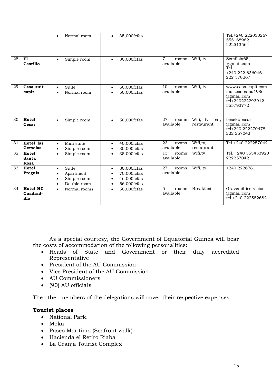|    |                                      | Normal room<br>$\bullet$                                                                             | 35,000fcfas<br>$\bullet$                                                                                     |                                      |                              | Tel.+240 222030267<br>555168982<br>222513564                                         |
|----|--------------------------------------|------------------------------------------------------------------------------------------------------|--------------------------------------------------------------------------------------------------------------|--------------------------------------|------------------------------|--------------------------------------------------------------------------------------|
| 28 | E1<br>Castillo                       | Simple room<br>$\bullet$                                                                             | 30,000fcfas<br>$\bullet$                                                                                     | $\overline{7}$<br>rooms<br>available | Wifi, tv                     | Semilola65<br>@gmail.com<br>Tel.<br>+240 222 636046<br>222 578267                    |
| 29 | Casa suit<br>capir                   | Suite<br>$\bullet$<br>Normal room<br>$\bullet$                                                       | $60,000$ fcfas<br>$\bullet$<br>50,000fcfas<br>$\bullet$                                                      | 10<br>rooms<br>available             | Wifi, tv                     | www.casa.capit.com<br>moiscsobama1986<br>@gmail.com<br>tel+240222293912<br>555793772 |
| 30 | Hotel<br>Cesar                       | Simple room<br>$\bullet$                                                                             | 50,000fcfas<br>$\bullet$                                                                                     | 27<br>rooms<br>available             | Wifi, tv, bar,<br>restaurant | besekuoscar<br>$(a)$ gmail.com<br>tel+240 222270478<br>222 257042                    |
| 31 | Hotel las<br>Gemelas                 | Mini suite<br>$\bullet$<br>Simple room<br>$\bullet$                                                  | 40,000fcfas<br>$\bullet$<br>30,000fcfas<br>$\bullet$                                                         | 23<br>rooms<br>available             | Wifi, tv,<br>restaurant      | Tel +240 222257042                                                                   |
| 32 | <b>Hotel</b><br><b>Santa</b><br>Rosa | Simple room<br>$\bullet$                                                                             | 35,000fcfas<br>$\bullet$                                                                                     | 13<br>rooms<br>available             | Wifi, tv                     | Tel. +240 555433920<br>222257042                                                     |
| 33 | Hotel<br>Preguis                     | Suite<br>$\bullet$<br>Apartment<br>$\bullet$<br>Simple room<br>$\bullet$<br>Double room<br>$\bullet$ | 80,000fcfas<br>$\bullet$<br>70,000fcfas<br>$\bullet$<br>46,000fcfas<br>$\bullet$<br>56,000fcfas<br>$\bullet$ | 27<br>rooms<br>available             | Wifi, tv                     | +240 2226781                                                                         |
| 34 | Hotel HC<br>Cuadrad-<br>illo         | Normal rooms<br>$\bullet$                                                                            | 50,000fcfas<br>$\bullet$                                                                                     | 5<br>rooms<br>available              | <b>Breakfast</b>             | Gravemiltiservicios<br>$(a)$ gmail.com<br>tel.+240 222582682                         |

As a special courtesy, the Government of Equatorial Guinea will bear the costs of accommodation of the following personalities:

- Heads of State and Government or their duly accredited Representative
- President of the AU Commission
- Vice President of the AU Commission
- AU Commissioners
- (90) AU officials

The other members of the delegations will cover their respective expenses.

# **Tourist places**

- National Park.
- Moka
- Paseo Maritimo (Seafront walk)
- Hacienda el Retiro Riaba
- La Granja Tourist Complex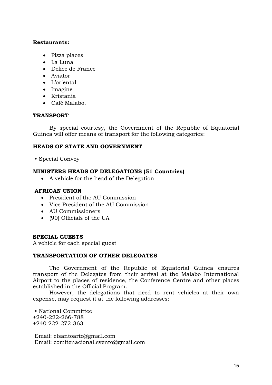## **Restaurants:**

- Pizza places
- La Luna
- Delice de France
- Aviator
- L'oriental
- Imagine
- Kristania
- Café Malabo.

## **TRANSPORT**

By special courtesy, the Government of the Republic of Equatorial Guinea will offer means of transport for the following categories:

## **HEADS OF STATE AND GOVERNMENT**

• Special Convoy

## **MINISTERS HEADS OF DELEGATIONS (51 Countries)**

• A vehicle for the head of the Delegation

# **AFRICAN UNION**

- President of the AU Commission
- Vice President of the AU Commission
- AU Commissioners
- (90) Officials of the UA

#### **SPECIAL GUESTS**

A vehicle for each special guest

#### **TRANSPORTATION OF OTHER DELEGATES**

The Government of the Republic of Equatorial Guinea ensures transport of the Delegates from their arrival at the Malabo International Airport to the places of residence, the Conference Centre and other places established in the Official Program.

However, the delegations that need to rent vehicles at their own expense, may request it at the following addresses:

• National Committee +240-222-266-788 +240 222-272-363

Email: elsantoarte@gmail.com Email: comitenacional.evento@gmail.com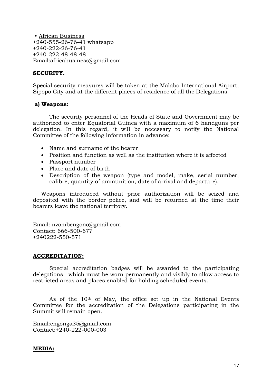• African Business +240-555-26-76-41 whatsapp +240-222-26-76-41 +240-222-48-48-48 Email:africabusiness@gmail.com

# **SECURITY.**

Special security measures will be taken at the Malabo International Airport, Sipopo City and at the different places of residence of all the Delegations.

#### **a) Weapons:**

The security personnel of the Heads of State and Government may be authorized to enter Equatorial Guinea with a maximum of 6 handguns per delegation. In this regard, it will be necessary to notify the National Committee of the following information in advance:

- Name and surname of the bearer
- Position and function as well as the institution where it is affected
- Passport number
- Place and date of birth
- Description of the weapon (type and model, make, serial number, calibre, quantity of ammunition, date of arrival and departure).

Weapons introduced without prior authorization will be seized and deposited with the border police, and will be returned at the time their bearers leave the national territory.

Email: nzombengono@gmail.com Contact: 666-500-677 +240222-550-571

#### **ACCREDITATION:**

Special accreditation badges will be awarded to the participating delegations. which must be worn permanently and visibly to allow access to restricted areas and places enabled for holding scheduled events.

As of the 10th of May, the office set up in the National Events Committee for the accreditation of the Delegations participating in the Summit will remain open.

Email:engonga35@gmail.com Contact:+240-222-000-003

#### **MEDIA:**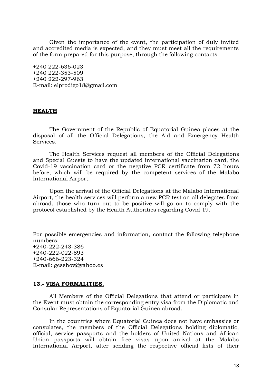Given the importance of the event, the participation of duly invited and accredited media is expected, and they must meet all the requirements of the form prepared for this purpose, through the following contacts:

+240 222-636-023 +240 222-353-509 +240 222-297-963 E-mail: elprodigo18@gmail.com

#### **HEALTH**

The Government of the Republic of Equatorial Guinea places at the disposal of all the Official Delegations, the Aid and Emergency Health Services.

The Health Services request all members of the Official Delegations and Special Guests to have the updated international vaccination card, the Covid-19 vaccination card or the negative PCR certificate from 72 hours before, which will be required by the competent services of the Malabo International Airport.

Upon the arrival of the Official Delegations at the Malabo International Airport, the health services will perform a new PCR test on all delegates from abroad, those who turn out to be positive will go on to comply with the protocol established by the Health Authorities regarding Covid 19.

For possible emergencies and information, contact the following telephone numbers: +240-222-243-386 +240-222-022-893 +240-666-223-324 E-mail: gesshov@yahoo.es

#### **13.- VISA FORMALITIES**.

All Members of the Official Delegations that attend or participate in the Event must obtain the corresponding entry visa from the Diplomatic and Consular Representations of Equatorial Guinea abroad.

In the countries where Equatorial Guinea does not have embassies or consulates, the members of the Official Delegations holding diplomatic, official, service passports and the holders of United Nations and African Union passports will obtain free visas upon arrival at the Malabo International Airport, after sending the respective official lists of their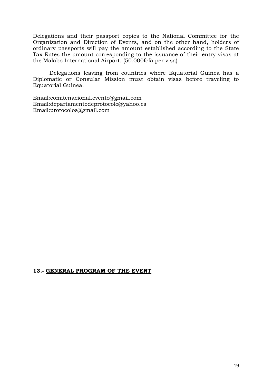Delegations and their passport copies to the National Committee for the Organization and Direction of Events, and on the other hand, holders of ordinary passports will pay the amount established according to the State Tax Rates the amount corresponding to the issuance of their entry visas at the Malabo International Airport. (50,000fcfa per visa)

Delegations leaving from countries where Equatorial Guinea has a Diplomatic or Consular Mission must obtain visas before traveling to Equatorial Guinea.

Email:comitenacional.evento@gmail.com Email:departamentodeprotocolo@yahoo.es Email:protocolos@gmail.com

# **13.- GENERAL PROGRAM OF THE EVENT**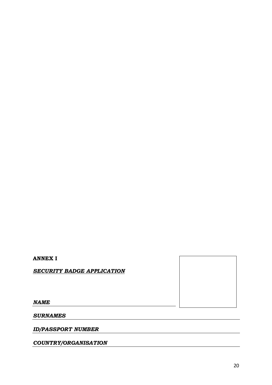# **ANNEX I**

*SECURITY BADGE APPLICATION*

*NAME*

*SURNAMES*

*ID/PASSPORT NUMBER*

*COUNTRY/ORGANISATION*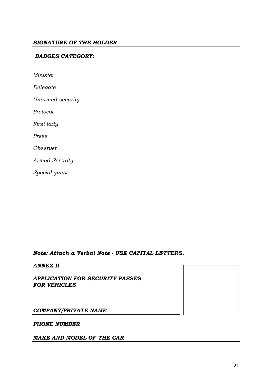## *BADGES CATEGORY:*

*Minister Delegate Unarmed security Protocol First lady Press Observer Armed Security Special guest*

*Note: Attach a Verbal Note - USE CAPITAL LETTERS.*

#### *ANNEX II*

*APPLICATION FOR SECURITY PASSES FOR VEHICLES*

#### *COMPANY/PRIVATE NAME*

#### *PHONE NUMBER*

#### *MAKE AND MODEL OF THE CAR*

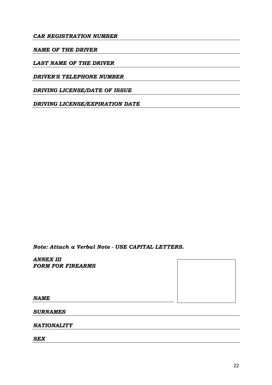## *CAR REGISTRATION NUMBER*

#### *NAME OF THE DRIVER*

## *LAST NAME OF THE DRIVER*

#### *DRIVER'S TELEPHONE NUMBER*

*DRIVING LICENSE/DATE OF ISSUE*

*DRIVING LICENSE/EXPIRATION DATE*

*Note: Attach a Verbal Note - USE CAPITAL LETTERS.*

*ANNEX III FORM FOR FIREARMS*



*NAME*

*SURNAMES*

*NATIONALITY*

*SEX*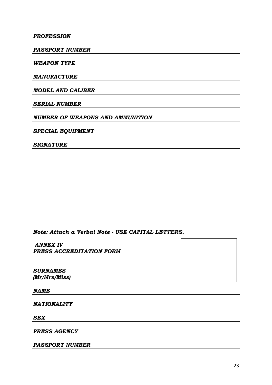#### *PROFESSION*

*PASSPORT NUMBER*

*WEAPON TYPE*

*MANUFACTURE*

*MODEL AND CALIBER*

*SERIAL NUMBER*

*NUMBER OF WEAPONS AND AMMUNITION*

*SPECIAL EQUIPMENT*

*SIGNATURE*

*Note: Attach a Verbal Note - USE CAPITAL LETTERS.*

*ANNEX IV PRESS ACCREDITATION FORM*

*SURNAMES (Mr/Mrs/Miss)*

*NAME*

*NATIONALITY*

*SEX*

*PRESS AGENCY*

*PASSPORT NUMBER*